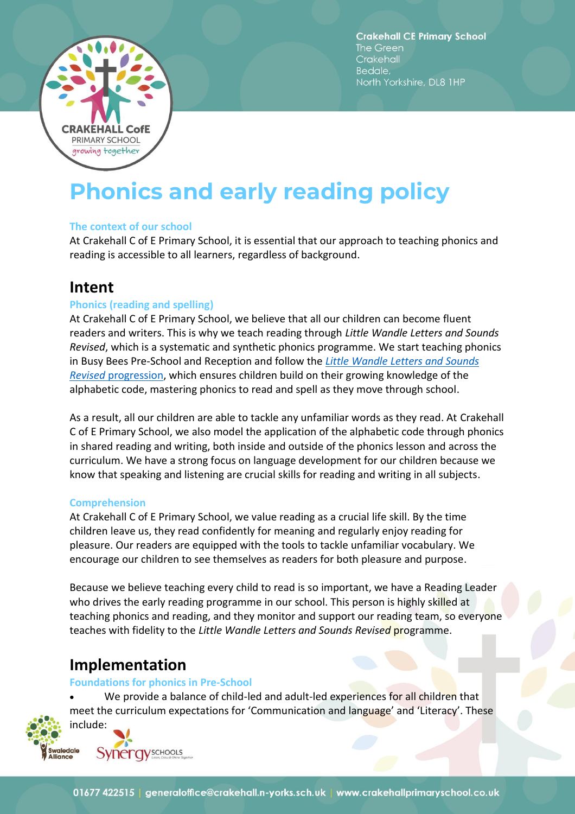

**Crakehall CE Primary School** The Green Crakehall Bedale. North Yorkshire, DL8 1HP

# **Phonics and early reading policy**

#### **The context of our school**

At Crakehall C of E Primary School, it is essential that our approach to teaching phonics and reading is accessible to all learners, regardless of background.

# **Intent**

# **Phonics (reading and spelling)**

At Crakehall C of E Primary School, we believe that all our children can become fluent readers and writers. This is why we teach reading through *Little Wandle Letters and Sounds Revised*, which is a systematic and synthetic phonics programme. We start teaching phonics in Busy Bees Pre-School and Reception and follow the *[Little Wandle Letters and Sounds](https://www.littlewandlelettersandsounds.org.uk/wp-content/uploads/2021/06/Programme-Overview_Reception-and-Year-1.pdf) Revised* [progression,](https://www.littlewandlelettersandsounds.org.uk/wp-content/uploads/2021/06/Programme-Overview_Reception-and-Year-1.pdf) which ensures children build on their growing knowledge of the alphabetic code, mastering phonics to read and spell as they move through school.

As a result, all our children are able to tackle any unfamiliar words as they read. At Crakehall C of E Primary School, we also model the application of the alphabetic code through phonics in shared reading and writing, both inside and outside of the phonics lesson and across the curriculum. We have a strong focus on language development for our children because we know that speaking and listening are crucial skills for reading and writing in all subjects.

#### **Comprehension**

At Crakehall C of E Primary School, we value reading as a crucial life skill. By the time children leave us, they read confidently for meaning and regularly enjoy reading for pleasure. Our readers are equipped with the tools to tackle unfamiliar vocabulary. We encourage our children to see themselves as readers for both pleasure and purpose.

Because we believe teaching every child to read is so important, we have a Reading Leader who drives the early reading programme in our school. This person is highly skilled at teaching phonics and reading, and they monitor and support our reading team, so everyone teaches with fidelity to the *Little Wandle Letters and Sounds Revised* programme.

# **Implementation**

#### **Foundations for phonics in Pre-School**

We provide a balance of child-led and adult-led experiences for all children that meet the curriculum expectations for 'Communication and language' and 'Literacy'. These include:



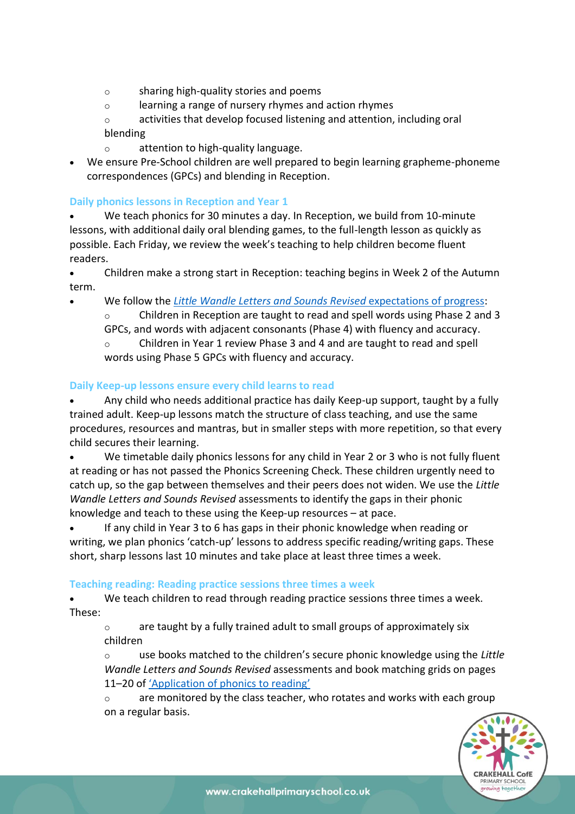- o sharing high-quality stories and poems
- o learning a range of nursery rhymes and action rhymes
- o activities that develop focused listening and attention, including oral blending
- o attention to high-quality language.
- We ensure Pre-School children are well prepared to begin learning grapheme-phoneme correspondences (GPCs) and blending in Reception.

# **Daily phonics lessons in Reception and Year 1**

- We teach phonics for 30 minutes a day. In Reception, we build from 10-minute lessons, with additional daily oral blending games, to the full-length lesson as quickly as possible. Each Friday, we review the week's teaching to help children become fluent readers.
- Children make a strong start in Reception: teaching begins in Week 2 of the Autumn term.
- We follow the *[Little Wandle Letters and Sounds Revised](https://www.littlewandlelettersandsounds.org.uk/wp-content/uploads/2021/06/Programme-Overview_Reception-and-Year-1.pdf)* expectations of progress:
	- $\circ$  Children in Reception are taught to read and spell words using Phase 2 and 3 GPCs, and words with adjacent consonants (Phase 4) with fluency and accuracy.

Children in Year 1 review Phase 3 and 4 and are taught to read and spell words using Phase 5 GPCs with fluency and accuracy.

# **Daily Keep-up lessons ensure every child learns to read**

• Any child who needs additional practice has daily Keep-up support, taught by a fully trained adult. Keep-up lessons match the structure of class teaching, and use the same procedures, resources and mantras, but in smaller steps with more repetition, so that every child secures their learning.

• We timetable daily phonics lessons for any child in Year 2 or 3 who is not fully fluent at reading or has not passed the Phonics Screening Check. These children urgently need to catch up, so the gap between themselves and their peers does not widen. We use the *Little Wandle Letters and Sounds Revised* assessments to identify the gaps in their phonic knowledge and teach to these using the Keep-up resources – at pace.

• If any child in Year 3 to 6 has gaps in their phonic knowledge when reading or writing, we plan phonics 'catch-up' lessons to address specific reading/writing gaps. These short, sharp lessons last 10 minutes and take place at least three times a week.

# **Teaching reading: Reading practice sessions three times a week**

We teach children to read through reading practice sessions three times a week. These:

 $\circ$  are taught by a fully trained adult to small groups of approximately six children

o use books matched to the children's secure phonic knowledge using the *Little Wandle Letters and Sounds Revised* assessments and book matching grids on pages 11–20 of ['Application of phonics to reading'](https://www.littlewandlelettersandsounds.org.uk/wp-content/uploads/2021/03/LS-KEY-GUIDANCE-APPLICATION-OF-PHONICS-FINAL-1.pdf)

o are monitored by the class teacher, who rotates and works with each group on a regular basis.

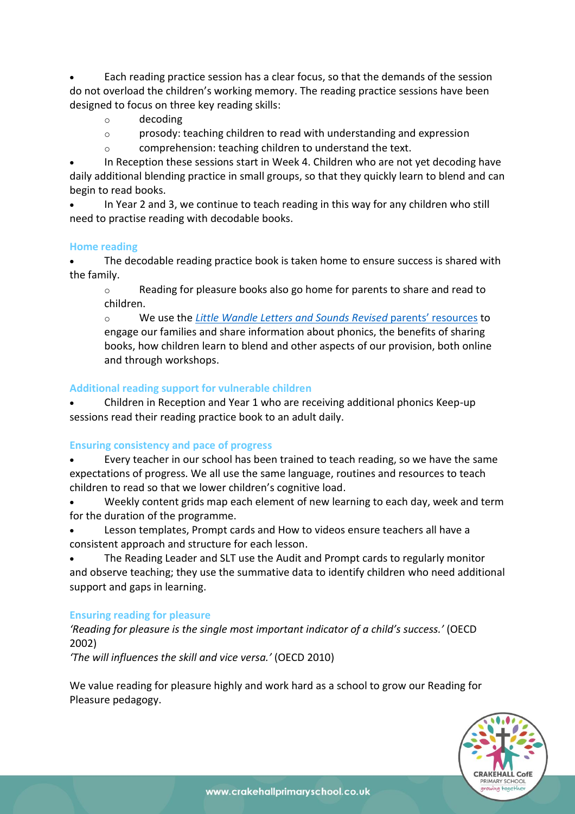• Each reading practice session has a clear focus, so that the demands of the session do not overload the children's working memory. The reading practice sessions have been designed to focus on three key reading skills:

- o decoding
- $\circ$  prosody: teaching children to read with understanding and expression
- o comprehension: teaching children to understand the text.

• In Reception these sessions start in Week 4. Children who are not yet decoding have daily additional blending practice in small groups, so that they quickly learn to blend and can begin to read books.

• In Year 2 and 3, we continue to teach reading in this way for any children who still need to practise reading with decodable books.

#### **Home reading**

The decodable reading practice book is taken home to ensure success is shared with the family.

o Reading for pleasure books also go home for parents to share and read to children.

o We use the *[Little Wandle Letters and Sounds Revised](https://www.littlewandlelettersandsounds.org.uk/resources/for-parents/)* parents' resources to engage our families and share information about phonics, the benefits of sharing books, how children learn to blend and other aspects of our provision, both online and through workshops.

# **Additional reading support for vulnerable children**

• Children in Reception and Year 1 who are receiving additional phonics Keep-up sessions read their reading practice book to an adult daily.

# **Ensuring consistency and pace of progress**

• Every teacher in our school has been trained to teach reading, so we have the same expectations of progress. We all use the same language, routines and resources to teach children to read so that we lower children's cognitive load.

• Weekly content grids map each element of new learning to each day, week and term for the duration of the programme.

• Lesson templates, Prompt cards and How to videos ensure teachers all have a consistent approach and structure for each lesson.

• The Reading Leader and SLT use the Audit and Prompt cards to regularly monitor and observe teaching; they use the summative data to identify children who need additional support and gaps in learning.

# **Ensuring reading for pleasure**

*'Reading for pleasure is the single most important indicator of a child's success.'* (OECD 2002)

*'The will influences the skill and vice versa.'* (OECD 2010)

We value reading for pleasure highly and work hard as a school to grow our Reading for Pleasure pedagogy.